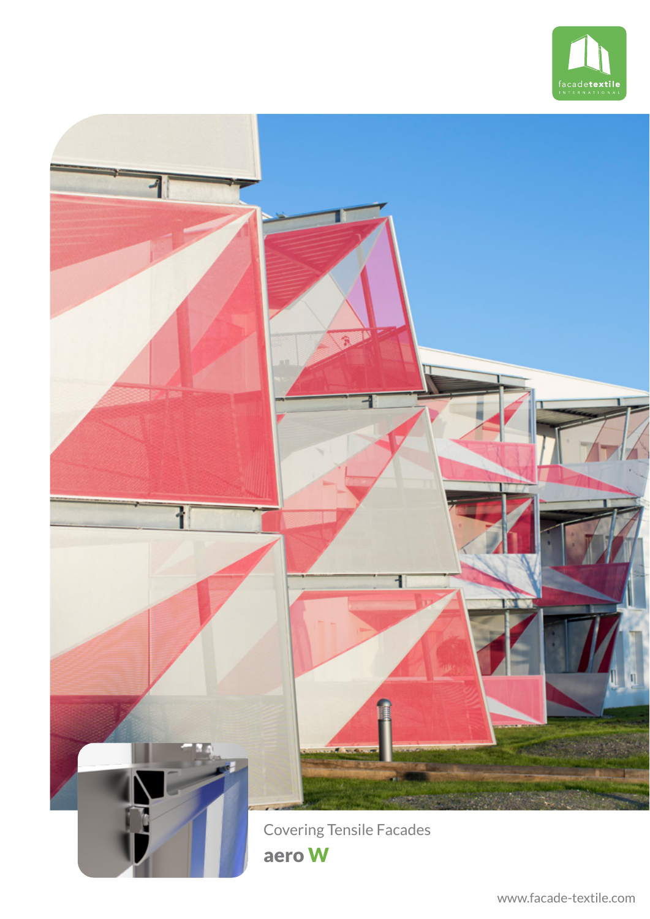

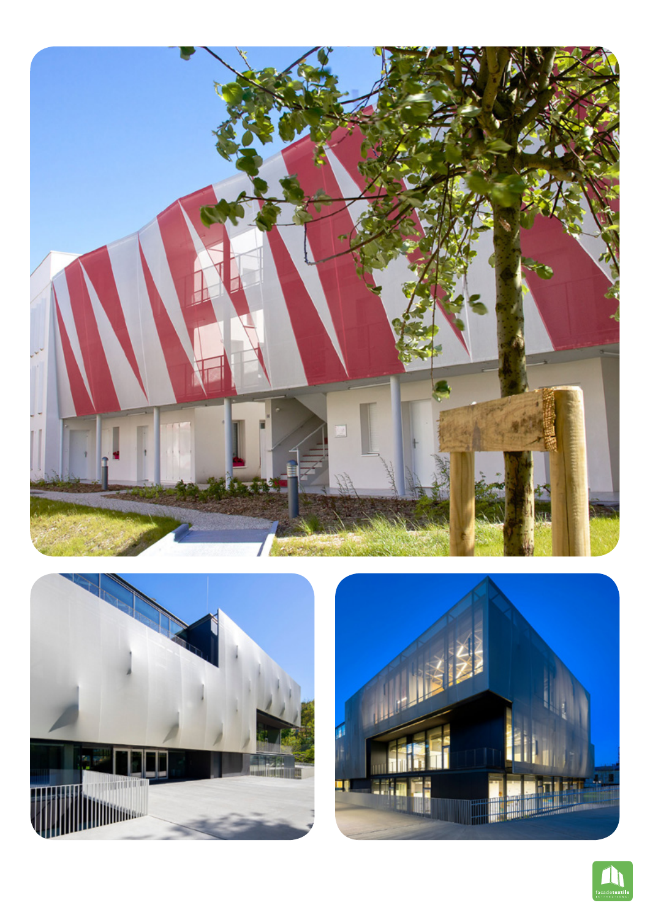





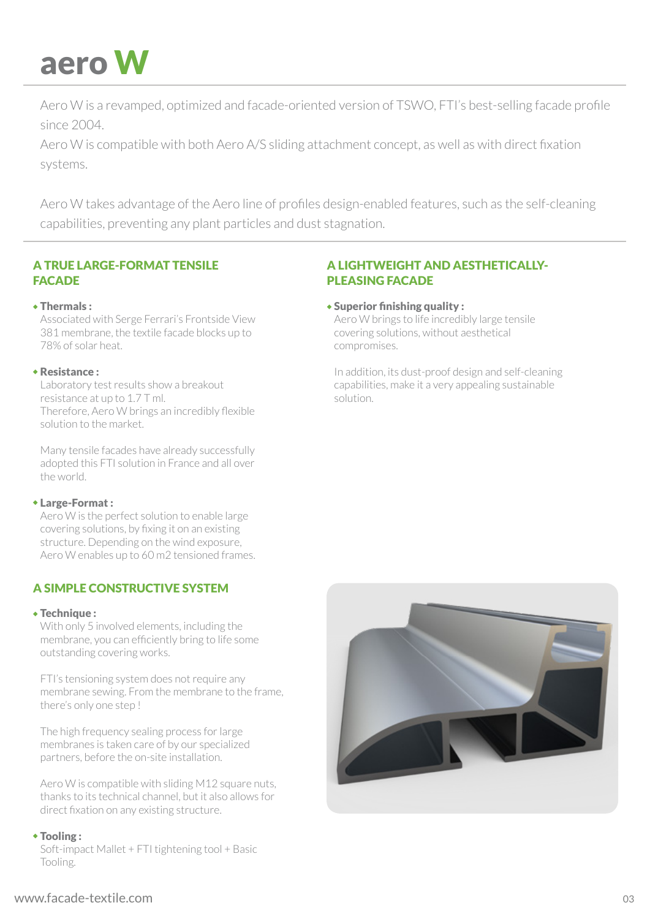# aero W

Aero W is a revamped, optimized and facade-oriented version of TSWO, FTI's best-selling facade profile since 2004.

Aero W is compatible with both Aero A/S sliding attachment concept, as well as with direct fixation systems.

Aero W takes advantage of the Aero line of profiles design-enabled features, such as the self-cleaning capabilities, preventing any plant particles and dust stagnation.

## A TRUE LARGE-FORMAT TENSILE **FACADE**

#### Thermals :

Associated with Serge Ferrari's Frontside View 381 membrane, the textile facade blocks up to 78% of solar heat.

#### Resistance :

Laboratory test results show a breakout resistance at up to 1.7 T ml. Therefore, Aero W brings an incredibly flexible solution to the market.

Many tensile facades have already successfully adopted this FTI solution in France and all over the world.

#### Large-Format :

Aero W is the perfect solution to enable large covering solutions, by fixing it on an existing structure. Depending on the wind exposure, Aero W enables up to 60 m2 tensioned frames.

# A SIMPLE CONSTRUCTIVE SYSTEM

#### Technique :

With only 5 involved elements, including the membrane, you can efficiently bring to life some outstanding covering works.

FTI's tensioning system does not require any membrane sewing. From the membrane to the frame, there's only one step !

The high frequency sealing process for large membranes is taken care of by our specialized partners, before the on-site installation.

Aero W is compatible with sliding M12 square nuts, thanks to its technical channel, but it also allows for direct fixation on any existing structure.

#### Tooling :

Soft-impact Mallet + FTI tightening tool + Basic Tooling.

# A LIGHTWEIGHT AND AESTHETICALLY-PLEASING FACADE

#### $\triangle$  Superior finishing quality :

Aero W brings to life incredibly large tensile covering solutions, without aesthetical compromises.

In addition, its dust-proof design and self-cleaning capabilities, make it a very appealing sustainable solution.



### www.facade-textile.com 03